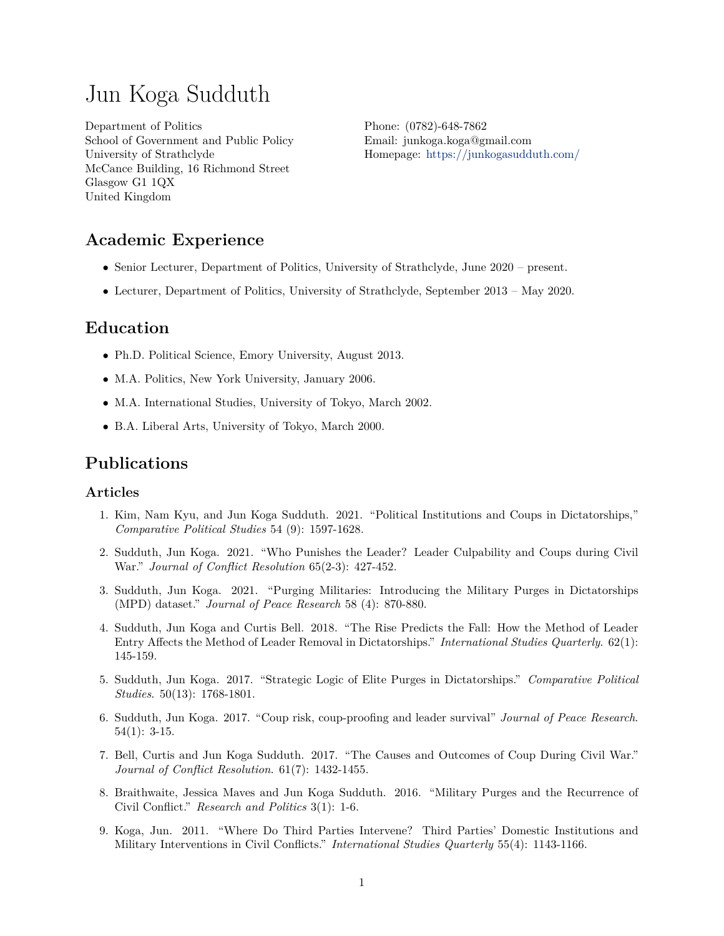# Jun Koga Sudduth

Department of Politics School of Government and Public Policy University of Strathclyde McCance Building, 16 Richmond Street Glasgow G1 1QX United Kingdom

Phone: (0782)-648-7862 Email: junkoga.koga@gmail.com Homepage: <https://junkogasudduth.com/>

## **Academic Experience**

- Senior Lecturer, Department of Politics, University of Strathclyde, June 2020 present.
- Lecturer, Department of Politics, University of Strathclyde, September 2013 May 2020.

### **Education**

- Ph.D. Political Science, Emory University, August 2013.
- M.A. Politics, New York University, January 2006.
- M.A. International Studies, University of Tokyo, March 2002.
- B.A. Liberal Arts, University of Tokyo, March 2000.

### **Publications**

#### **Articles**

- 1. Kim, Nam Kyu, and Jun Koga Sudduth. 2021. "Political Institutions and Coups in Dictatorships," *Comparative Political Studies* 54 (9): 1597-1628.
- 2. Sudduth, Jun Koga. 2021. "Who Punishes the Leader? Leader Culpability and Coups during Civil War." *Journal of Conflict Resolution* 65(2-3): 427-452.
- 3. Sudduth, Jun Koga. 2021. "Purging Militaries: Introducing the Military Purges in Dictatorships (MPD) dataset." *Journal of Peace Research* 58 (4): 870-880.
- 4. Sudduth, Jun Koga and Curtis Bell. 2018. "The Rise Predicts the Fall: How the Method of Leader Entry Affects the Method of Leader Removal in Dictatorships." *International Studies Quarterly*. 62(1): 145-159.
- 5. Sudduth, Jun Koga. 2017. "Strategic Logic of Elite Purges in Dictatorships." *Comparative Political Studies*. 50(13): 1768-1801.
- 6. Sudduth, Jun Koga. 2017. "Coup risk, coup-proofing and leader survival" *Journal of Peace Research*.  $54(1): 3-15.$
- 7. Bell, Curtis and Jun Koga Sudduth. 2017. "The Causes and Outcomes of Coup During Civil War." *Journal of Conflict Resolution*. 61(7): 1432-1455.
- 8. Braithwaite, Jessica Maves and Jun Koga Sudduth. 2016. "Military Purges and the Recurrence of Civil Conflict." *Research and Politics* 3(1): 1-6.
- 9. Koga, Jun. 2011. "Where Do Third Parties Intervene? Third Parties' Domestic Institutions and Military Interventions in Civil Conflicts." *International Studies Quarterly* 55(4): 1143-1166.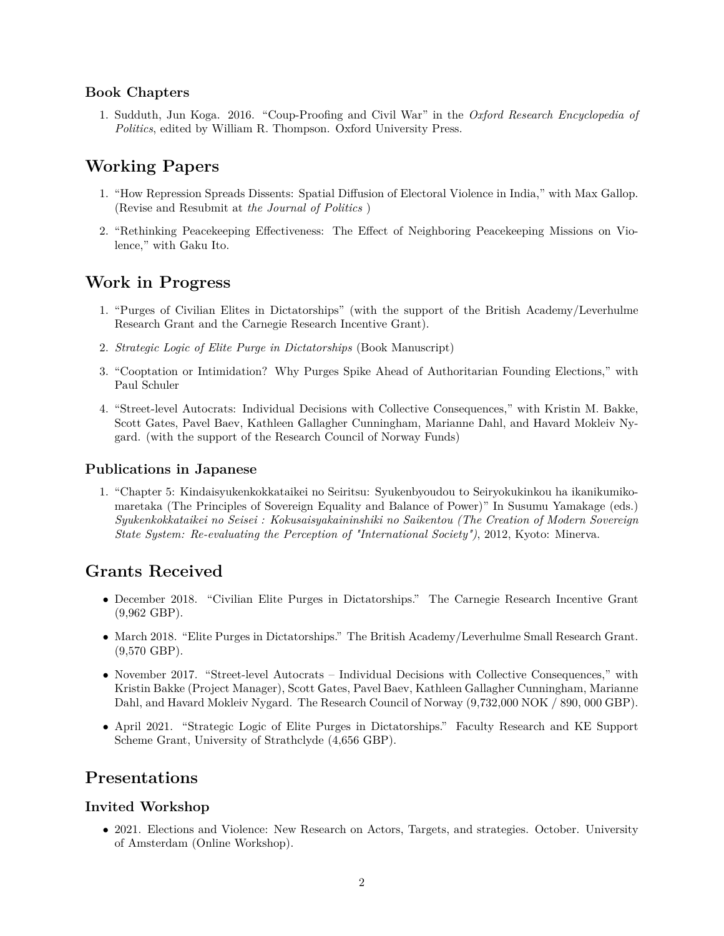### **Book Chapters**

1. Sudduth, Jun Koga. 2016. "Coup-Proofing and Civil War" in the *Oxford Research Encyclopedia of Politics*, edited by William R. Thompson. Oxford University Press.

# **Working Papers**

- 1. "How Repression Spreads Dissents: Spatial Diffusion of Electoral Violence in India," with Max Gallop. (Revise and Resubmit at *the Journal of Politics* )
- 2. "Rethinking Peacekeeping Effectiveness: The Effect of Neighboring Peacekeeping Missions on Violence," with Gaku Ito.

### **Work in Progress**

- 1. "Purges of Civilian Elites in Dictatorships" (with the support of the British Academy/Leverhulme Research Grant and the Carnegie Research Incentive Grant).
- 2. *Strategic Logic of Elite Purge in Dictatorships* (Book Manuscript)
- 3. "Cooptation or Intimidation? Why Purges Spike Ahead of Authoritarian Founding Elections," with Paul Schuler
- 4. "Street-level Autocrats: Individual Decisions with Collective Consequences," with Kristin M. Bakke, Scott Gates, Pavel Baev, Kathleen Gallagher Cunningham, Marianne Dahl, and Havard Mokleiv Nygard. (with the support of the Research Council of Norway Funds)

#### **Publications in Japanese**

1. "Chapter 5: Kindaisyukenkokkataikei no Seiritsu: Syukenbyoudou to Seiryokukinkou ha ikanikumikomaretaka (The Principles of Sovereign Equality and Balance of Power)" In Susumu Yamakage (eds.) *Syukenkokkataikei no Seisei : Kokusaisyakaininshiki no Saikentou (The Creation of Modern Sovereign State System: Re-evaluating the Perception of "International Society")*, 2012, Kyoto: Minerva.

## **Grants Received**

- December 2018. "Civilian Elite Purges in Dictatorships." The Carnegie Research Incentive Grant (9,962 GBP).
- March 2018. "Elite Purges in Dictatorships." The British Academy/Leverhulme Small Research Grant.  $(9,570 \text{ GBP})$ .
- November 2017. "Street-level Autocrats Individual Decisions with Collective Consequences," with Kristin Bakke (Project Manager), Scott Gates, Pavel Baev, Kathleen Gallagher Cunningham, Marianne Dahl, and Havard Mokleiv Nygard. The Research Council of Norway (9,732,000 NOK */* 890, 000 GBP).
- April 2021. "Strategic Logic of Elite Purges in Dictatorships." Faculty Research and KE Support Scheme Grant, University of Strathclyde (4,656 GBP).

### **Presentations**

#### **Invited Workshop**

• 2021. Elections and Violence: New Research on Actors, Targets, and strategies. October. University of Amsterdam (Online Workshop).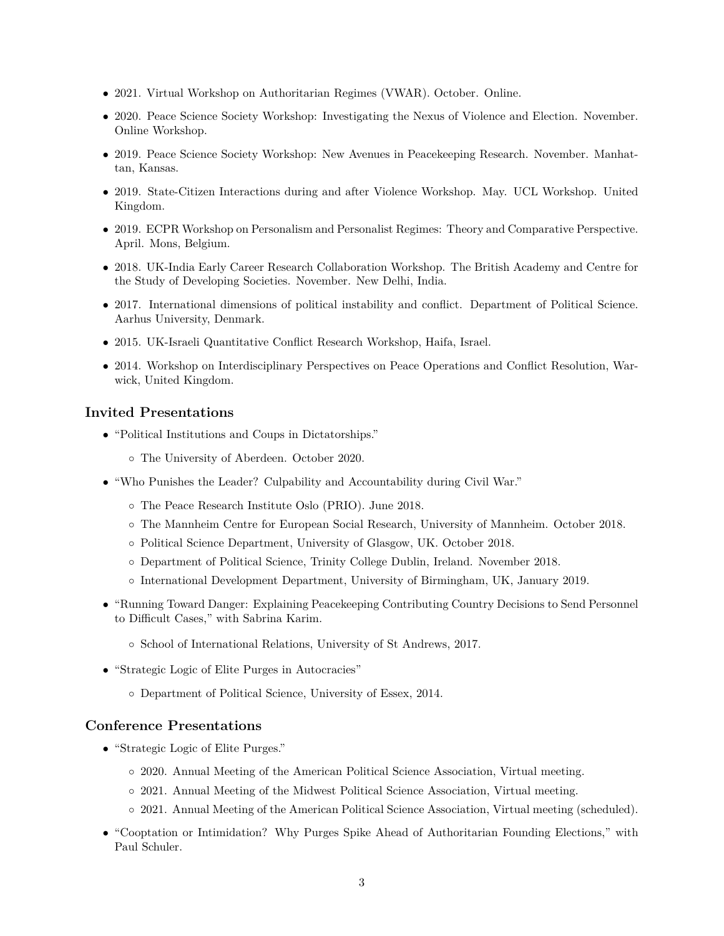- 2021. Virtual Workshop on Authoritarian Regimes (VWAR). October. Online.
- 2020. Peace Science Society Workshop: Investigating the Nexus of Violence and Election. November. Online Workshop.
- 2019. Peace Science Society Workshop: New Avenues in Peacekeeping Research. November. Manhattan, Kansas.
- 2019. State-Citizen Interactions during and after Violence Workshop. May. UCL Workshop. United Kingdom.
- 2019. ECPR Workshop on Personalism and Personalist Regimes: Theory and Comparative Perspective. April. Mons, Belgium.
- 2018. UK-India Early Career Research Collaboration Workshop. The British Academy and Centre for the Study of Developing Societies. November. New Delhi, India.
- 2017. International dimensions of political instability and conflict. Department of Political Science. Aarhus University, Denmark.
- 2015. UK-Israeli Quantitative Conflict Research Workshop, Haifa, Israel.
- 2014. Workshop on Interdisciplinary Perspectives on Peace Operations and Conflict Resolution, Warwick, United Kingdom.

#### **Invited Presentations**

- "Political Institutions and Coups in Dictatorships."
	- The University of Aberdeen. October 2020.
- "Who Punishes the Leader? Culpability and Accountability during Civil War."
	- The Peace Research Institute Oslo (PRIO). June 2018.
	- The Mannheim Centre for European Social Research, University of Mannheim. October 2018.
	- Political Science Department, University of Glasgow, UK. October 2018.
	- Department of Political Science, Trinity College Dublin, Ireland. November 2018.
	- International Development Department, University of Birmingham, UK, January 2019.
- "Running Toward Danger: Explaining Peacekeeping Contributing Country Decisions to Send Personnel to Difficult Cases," with Sabrina Karim.
	- School of International Relations, University of St Andrews, 2017.
- "Strategic Logic of Elite Purges in Autocracies"
	- Department of Political Science, University of Essex, 2014.

#### **Conference Presentations**

- "Strategic Logic of Elite Purges."
	- 2020. Annual Meeting of the American Political Science Association, Virtual meeting.
	- 2021. Annual Meeting of the Midwest Political Science Association, Virtual meeting.
	- 2021. Annual Meeting of the American Political Science Association, Virtual meeting (scheduled).
- "Cooptation or Intimidation? Why Purges Spike Ahead of Authoritarian Founding Elections," with Paul Schuler.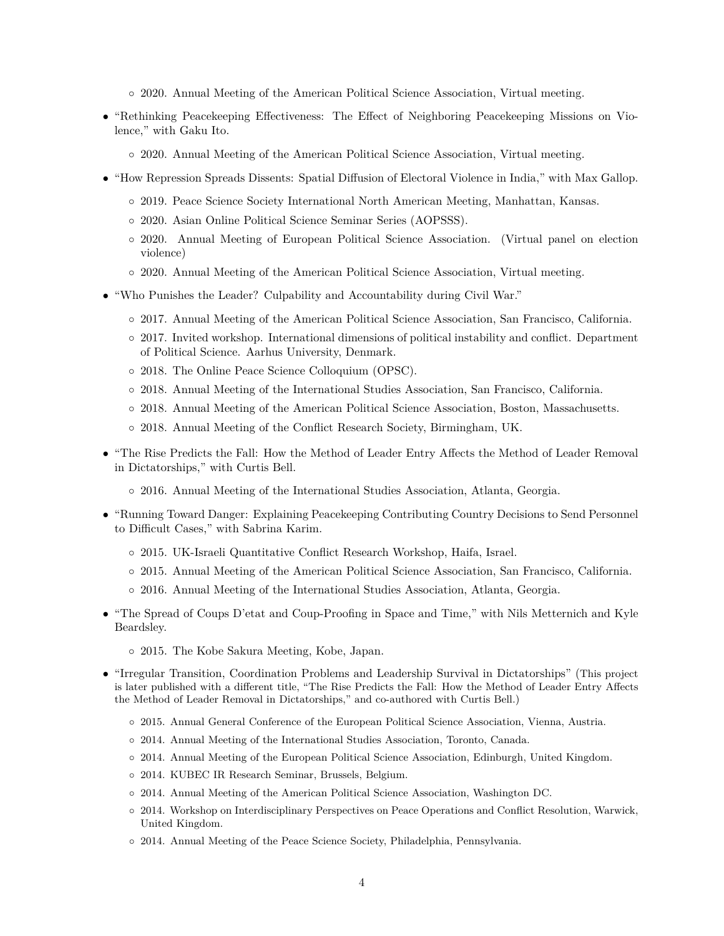- 2020. Annual Meeting of the American Political Science Association, Virtual meeting.
- "Rethinking Peacekeeping Effectiveness: The Effect of Neighboring Peacekeeping Missions on Violence," with Gaku Ito.
	- 2020. Annual Meeting of the American Political Science Association, Virtual meeting.
- "How Repression Spreads Dissents: Spatial Diffusion of Electoral Violence in India," with Max Gallop.
	- 2019. Peace Science Society International North American Meeting, Manhattan, Kansas.
	- 2020. Asian Online Political Science Seminar Series (AOPSSS).
	- 2020. Annual Meeting of European Political Science Association. (Virtual panel on election violence)
	- 2020. Annual Meeting of the American Political Science Association, Virtual meeting.
- "Who Punishes the Leader? Culpability and Accountability during Civil War."
	- 2017. Annual Meeting of the American Political Science Association, San Francisco, California.
	- 2017. Invited workshop. International dimensions of political instability and conflict. Department of Political Science. Aarhus University, Denmark.
	- 2018. The Online Peace Science Colloquium (OPSC).
	- 2018. Annual Meeting of the International Studies Association, San Francisco, California.
	- 2018. Annual Meeting of the American Political Science Association, Boston, Massachusetts.
	- 2018. Annual Meeting of the Conflict Research Society, Birmingham, UK.
- "The Rise Predicts the Fall: How the Method of Leader Entry Affects the Method of Leader Removal in Dictatorships," with Curtis Bell.
	- 2016. Annual Meeting of the International Studies Association, Atlanta, Georgia.
- "Running Toward Danger: Explaining Peacekeeping Contributing Country Decisions to Send Personnel to Difficult Cases," with Sabrina Karim.
	- 2015. UK-Israeli Quantitative Conflict Research Workshop, Haifa, Israel.
	- 2015. Annual Meeting of the American Political Science Association, San Francisco, California.
	- 2016. Annual Meeting of the International Studies Association, Atlanta, Georgia.
- "The Spread of Coups D'etat and Coup-Proofing in Space and Time," with Nils Metternich and Kyle Beardsley.
	- 2015. The Kobe Sakura Meeting, Kobe, Japan.
- "Irregular Transition, Coordination Problems and Leadership Survival in Dictatorships" (This project is later published with a different title, "The Rise Predicts the Fall: How the Method of Leader Entry Affects the Method of Leader Removal in Dictatorships," and co-authored with Curtis Bell.)
	- 2015. Annual General Conference of the European Political Science Association, Vienna, Austria.
	- 2014. Annual Meeting of the International Studies Association, Toronto, Canada.
	- 2014. Annual Meeting of the European Political Science Association, Edinburgh, United Kingdom.
	- 2014. KUBEC IR Research Seminar, Brussels, Belgium.
	- 2014. Annual Meeting of the American Political Science Association, Washington DC.
	- 2014. Workshop on Interdisciplinary Perspectives on Peace Operations and Conflict Resolution, Warwick, United Kingdom.
	- 2014. Annual Meeting of the Peace Science Society, Philadelphia, Pennsylvania.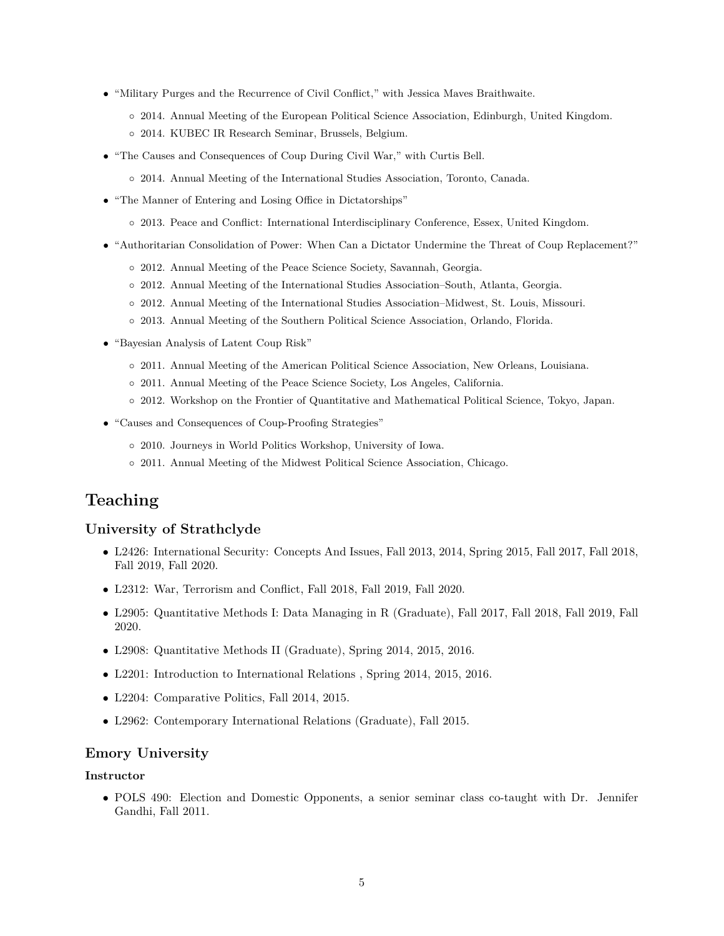- "Military Purges and the Recurrence of Civil Conflict," with Jessica Maves Braithwaite.
	- 2014. Annual Meeting of the European Political Science Association, Edinburgh, United Kingdom.
	- 2014. KUBEC IR Research Seminar, Brussels, Belgium.
- "The Causes and Consequences of Coup During Civil War," with Curtis Bell.
	- 2014. Annual Meeting of the International Studies Association, Toronto, Canada.
- "The Manner of Entering and Losing Office in Dictatorships"
	- 2013. Peace and Conflict: International Interdisciplinary Conference, Essex, United Kingdom.
- "Authoritarian Consolidation of Power: When Can a Dictator Undermine the Threat of Coup Replacement?"
	- 2012. Annual Meeting of the Peace Science Society, Savannah, Georgia.
	- 2012. Annual Meeting of the International Studies Association–South, Atlanta, Georgia.
	- 2012. Annual Meeting of the International Studies Association–Midwest, St. Louis, Missouri.
	- 2013. Annual Meeting of the Southern Political Science Association, Orlando, Florida.
- "Bayesian Analysis of Latent Coup Risk"
	- 2011. Annual Meeting of the American Political Science Association, New Orleans, Louisiana.
	- 2011. Annual Meeting of the Peace Science Society, Los Angeles, California.
	- 2012. Workshop on the Frontier of Quantitative and Mathematical Political Science, Tokyo, Japan.
- "Causes and Consequences of Coup-Proofing Strategies"
	- 2010. Journeys in World Politics Workshop, University of Iowa.
	- 2011. Annual Meeting of the Midwest Political Science Association, Chicago.

### **Teaching**

#### **University of Strathclyde**

- L2426: International Security: Concepts And Issues, Fall 2013, 2014, Spring 2015, Fall 2017, Fall 2018, Fall 2019, Fall 2020.
- L2312: War, Terrorism and Conflict, Fall 2018, Fall 2019, Fall 2020.
- L2905: Quantitative Methods I: Data Managing in R (Graduate), Fall 2017, Fall 2018, Fall 2019, Fall 2020.
- L2908: Quantitative Methods II (Graduate), Spring 2014, 2015, 2016.
- L2201: Introduction to International Relations , Spring 2014, 2015, 2016.
- L2204: Comparative Politics, Fall 2014, 2015.
- L2962: Contemporary International Relations (Graduate), Fall 2015.

#### **Emory University**

#### **Instructor**

• POLS 490: Election and Domestic Opponents, a senior seminar class co-taught with Dr. Jennifer Gandhi, Fall 2011.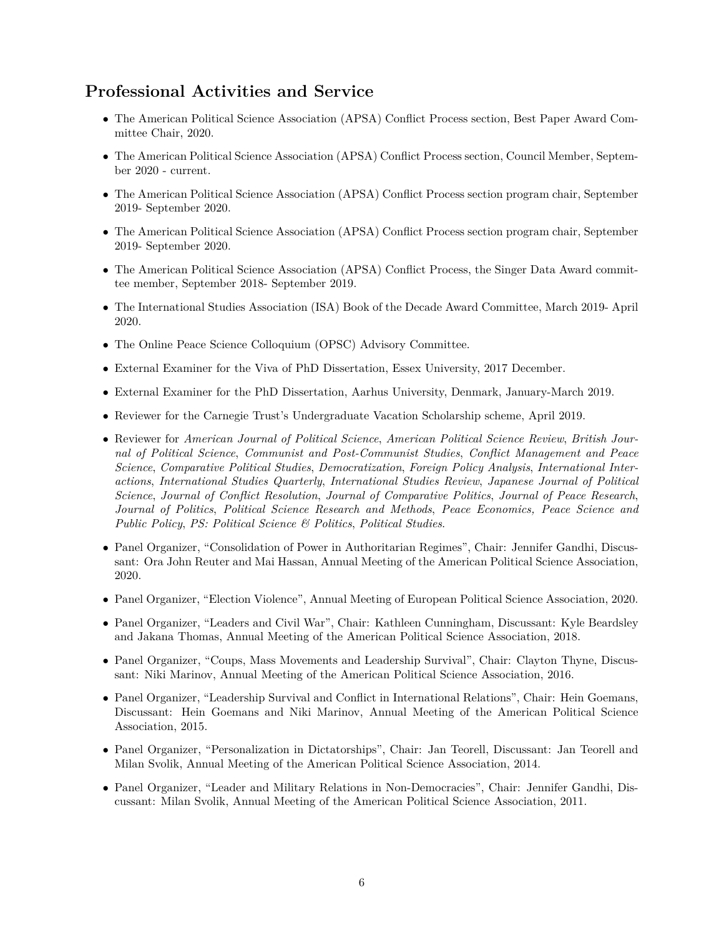## **Professional Activities and Service**

- The American Political Science Association (APSA) Conflict Process section, Best Paper Award Committee Chair, 2020.
- The American Political Science Association (APSA) Conflict Process section, Council Member, September 2020 - current.
- The American Political Science Association (APSA) Conflict Process section program chair, September 2019- September 2020.
- The American Political Science Association (APSA) Conflict Process section program chair, September 2019- September 2020.
- The American Political Science Association (APSA) Conflict Process, the Singer Data Award committee member, September 2018- September 2019.
- The International Studies Association (ISA) Book of the Decade Award Committee, March 2019- April 2020.
- The Online Peace Science Colloquium (OPSC) Advisory Committee.
- External Examiner for the Viva of PhD Dissertation, Essex University, 2017 December.
- External Examiner for the PhD Dissertation, Aarhus University, Denmark, January-March 2019.
- Reviewer for the Carnegie Trust's Undergraduate Vacation Scholarship scheme, April 2019.
- Reviewer for *American Journal of Political Science*, *American Political Science Review*, *British Journal of Political Science*, *Communist and Post-Communist Studies*, *Conflict Management and Peace Science*, *Comparative Political Studies*, *Democratization*, *Foreign Policy Analysis*, *International Interactions*, *International Studies Quarterly*, *International Studies Review*, *Japanese Journal of Political Science*, *Journal of Conflict Resolution*, *Journal of Comparative Politics*, *Journal of Peace Research*, *Journal of Politics*, *Political Science Research and Methods*, *Peace Economics, Peace Science and Public Policy*, *PS: Political Science & Politics*, *Political Studies*.
- Panel Organizer, "Consolidation of Power in Authoritarian Regimes", Chair: Jennifer Gandhi, Discussant: Ora John Reuter and Mai Hassan, Annual Meeting of the American Political Science Association, 2020.
- Panel Organizer, "Election Violence", Annual Meeting of European Political Science Association, 2020.
- Panel Organizer, "Leaders and Civil War", Chair: Kathleen Cunningham, Discussant: Kyle Beardsley and Jakana Thomas, Annual Meeting of the American Political Science Association, 2018.
- Panel Organizer, "Coups, Mass Movements and Leadership Survival", Chair: Clayton Thyne, Discussant: Niki Marinov, Annual Meeting of the American Political Science Association, 2016.
- Panel Organizer, "Leadership Survival and Conflict in International Relations", Chair: Hein Goemans, Discussant: Hein Goemans and Niki Marinov, Annual Meeting of the American Political Science Association, 2015.
- Panel Organizer, "Personalization in Dictatorships", Chair: Jan Teorell, Discussant: Jan Teorell and Milan Svolik, Annual Meeting of the American Political Science Association, 2014.
- Panel Organizer, "Leader and Military Relations in Non-Democracies", Chair: Jennifer Gandhi, Discussant: Milan Svolik, Annual Meeting of the American Political Science Association, 2011.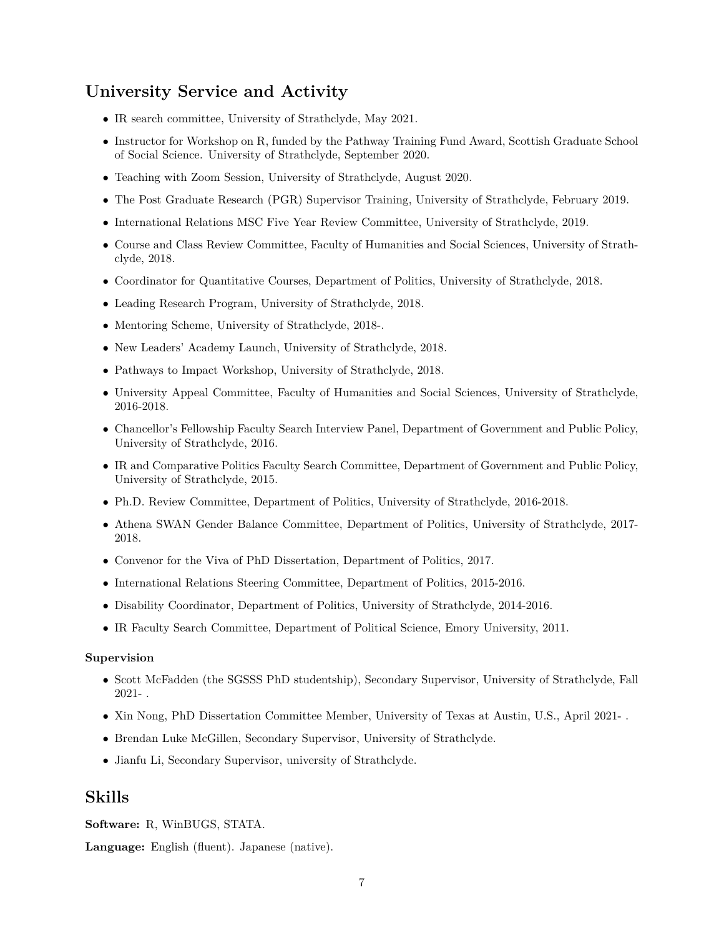# **University Service and Activity**

- IR search committee, University of Strathclyde, May 2021.
- Instructor for Workshop on R, funded by the Pathway Training Fund Award, Scottish Graduate School of Social Science. University of Strathclyde, September 2020.
- Teaching with Zoom Session, University of Strathclyde, August 2020.
- The Post Graduate Research (PGR) Supervisor Training, University of Strathclyde, February 2019.
- International Relations MSC Five Year Review Committee, University of Strathclyde, 2019.
- Course and Class Review Committee, Faculty of Humanities and Social Sciences, University of Strathclyde, 2018.
- Coordinator for Quantitative Courses, Department of Politics, University of Strathclyde, 2018.
- Leading Research Program, University of Strathclyde, 2018.
- Mentoring Scheme, University of Strathclyde, 2018-.
- New Leaders' Academy Launch, University of Strathclyde, 2018.
- Pathways to Impact Workshop, University of Strathclyde, 2018.
- University Appeal Committee, Faculty of Humanities and Social Sciences, University of Strathclyde, 2016-2018.
- Chancellor's Fellowship Faculty Search Interview Panel, Department of Government and Public Policy, University of Strathclyde, 2016.
- IR and Comparative Politics Faculty Search Committee, Department of Government and Public Policy, University of Strathclyde, 2015.
- Ph.D. Review Committee, Department of Politics, University of Strathclyde, 2016-2018.
- Athena SWAN Gender Balance Committee, Department of Politics, University of Strathclyde, 2017- 2018.
- Convenor for the Viva of PhD Dissertation, Department of Politics, 2017.
- International Relations Steering Committee, Department of Politics, 2015-2016.
- Disability Coordinator, Department of Politics, University of Strathclyde, 2014-2016.
- IR Faculty Search Committee, Department of Political Science, Emory University, 2011.

#### **Supervision**

- Scott McFadden (the SGSSS PhD studentship), Secondary Supervisor, University of Strathclyde, Fall 2021- .
- Xin Nong, PhD Dissertation Committee Member, University of Texas at Austin, U.S., April 2021- .
- Brendan Luke McGillen, Secondary Supervisor, University of Strathclyde.
- Jianfu Li, Secondary Supervisor, university of Strathclyde.

### **Skills**

**Software:** R, WinBUGS, STATA.

**Language:** English (fluent). Japanese (native).